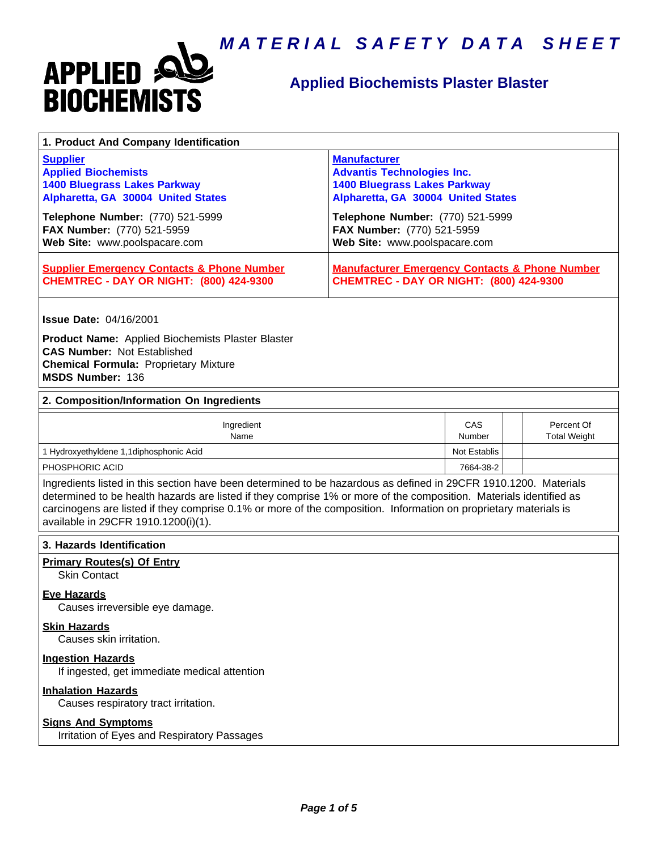

### **Applied Biochemists Plaster Blaster**

| 1. Product And Company Identification                                                                                                                                                                                                                                                                                                                                                             |                                                                                                                                                                           |               |  |                                   |  |
|---------------------------------------------------------------------------------------------------------------------------------------------------------------------------------------------------------------------------------------------------------------------------------------------------------------------------------------------------------------------------------------------------|---------------------------------------------------------------------------------------------------------------------------------------------------------------------------|---------------|--|-----------------------------------|--|
| <b>Supplier</b><br><b>Applied Biochemists</b><br><b>1400 Bluegrass Lakes Parkway</b><br>Alpharetta, GA 30004 United States<br>Telephone Number: (770) 521-5999                                                                                                                                                                                                                                    | <b>Manufacturer</b><br><b>Advantis Technologies Inc.</b><br><b>1400 Bluegrass Lakes Parkway</b><br>Alpharetta, GA 30004 United States<br>Telephone Number: (770) 521-5999 |               |  |                                   |  |
| FAX Number: (770) 521-5959<br>Web Site: www.poolspacare.com                                                                                                                                                                                                                                                                                                                                       | FAX Number: (770) 521-5959<br>Web Site: www.poolspacare.com                                                                                                               |               |  |                                   |  |
| <b>Supplier Emergency Contacts &amp; Phone Number</b><br><b>CHEMTREC - DAY OR NIGHT: (800) 424-9300</b>                                                                                                                                                                                                                                                                                           | <b>Manufacturer Emergency Contacts &amp; Phone Number</b><br><b>CHEMTREC - DAY OR NIGHT: (800) 424-9300</b>                                                               |               |  |                                   |  |
| <b>Issue Date: 04/16/2001</b><br>Product Name: Applied Biochemists Plaster Blaster<br><b>CAS Number: Not Established</b><br><b>Chemical Formula: Proprietary Mixture</b><br>MSDS Number: 136                                                                                                                                                                                                      |                                                                                                                                                                           |               |  |                                   |  |
| 2. Composition/Information On Ingredients                                                                                                                                                                                                                                                                                                                                                         |                                                                                                                                                                           |               |  |                                   |  |
| Ingredient<br>Name                                                                                                                                                                                                                                                                                                                                                                                |                                                                                                                                                                           | CAS<br>Number |  | Percent Of<br><b>Total Weight</b> |  |
| 1 Hydroxyethyldene 1,1diphosphonic Acid                                                                                                                                                                                                                                                                                                                                                           |                                                                                                                                                                           | Not Establis  |  |                                   |  |
| PHOSPHORIC ACID                                                                                                                                                                                                                                                                                                                                                                                   |                                                                                                                                                                           | 7664-38-2     |  |                                   |  |
| Ingredients listed in this section have been determined to be hazardous as defined in 29CFR 1910.1200. Materials<br>determined to be health hazards are listed if they comprise 1% or more of the composition. Materials identified as<br>carcinogens are listed if they comprise 0.1% or more of the composition. Information on proprietary materials is<br>available in 29CFR 1910.1200(i)(1). |                                                                                                                                                                           |               |  |                                   |  |
| 3. Hazards Identification                                                                                                                                                                                                                                                                                                                                                                         |                                                                                                                                                                           |               |  |                                   |  |
| <b>Primary Routes(s) Of Entry</b><br><b>Skin Contact</b>                                                                                                                                                                                                                                                                                                                                          |                                                                                                                                                                           |               |  |                                   |  |
| <b>Eye Hazards</b><br>Causes irreversible eye damage.                                                                                                                                                                                                                                                                                                                                             |                                                                                                                                                                           |               |  |                                   |  |
| <b>Skin Hazards</b><br>Causes skin irritation.                                                                                                                                                                                                                                                                                                                                                    |                                                                                                                                                                           |               |  |                                   |  |
| <b>Ingestion Hazards</b><br>If ingested, get immediate medical attention                                                                                                                                                                                                                                                                                                                          |                                                                                                                                                                           |               |  |                                   |  |
| <b>Inhalation Hazards</b><br>Causes respiratory tract irritation.                                                                                                                                                                                                                                                                                                                                 |                                                                                                                                                                           |               |  |                                   |  |
| <b>Signs And Symptoms</b><br>Irritation of Eyes and Respiratory Passages                                                                                                                                                                                                                                                                                                                          |                                                                                                                                                                           |               |  |                                   |  |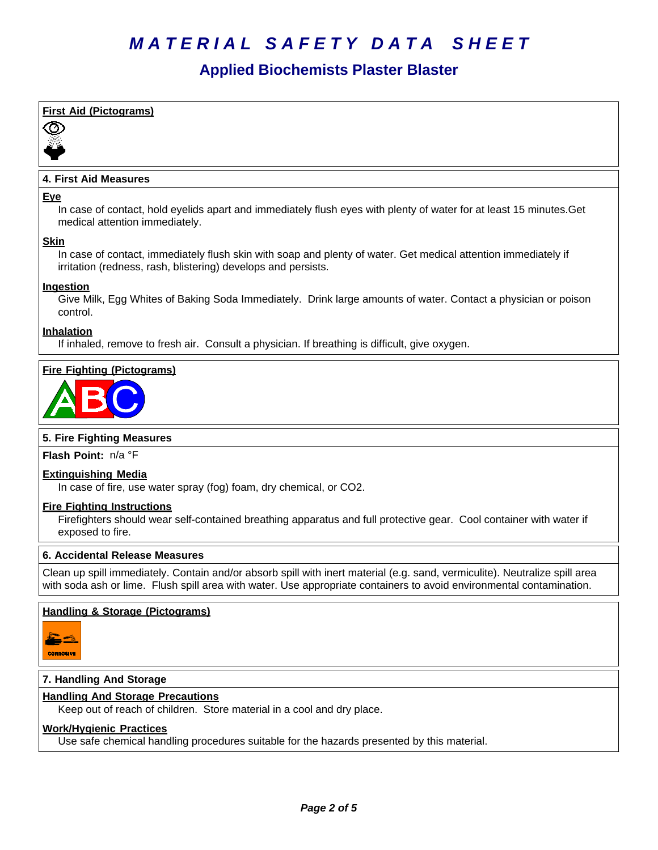### **Applied Biochemists Plaster Blaster**

### **First Aid (Pictograms)** 80)

#### **4. First Aid Measures**

#### **Eye**

In case of contact, hold eyelids apart and immediately flush eyes with plenty of water for at least 15 minutes.Get medical attention immediately.

#### **Skin**

In case of contact, immediately flush skin with soap and plenty of water. Get medical attention immediately if irritation (redness, rash, blistering) develops and persists.

#### **Ingestion**

Give Milk, Egg Whites of Baking Soda Immediately. Drink large amounts of water. Contact a physician or poison control.

#### **Inhalation**

If inhaled, remove to fresh air. Consult a physician. If breathing is difficult, give oxygen.

#### **Fire Fighting (Pictograms)**



#### **5. Fire Fighting Measures**

**Flash Point:** n/a°F

#### **Extinguishing Media**

In case of fire, use water spray (fog) foam, dry chemical, or CO2.

#### **Fire Fighting Instructions**

Firefighters should wear self-contained breathing apparatus and full protective gear. Cool container with water if exposed to fire.

#### **6.Accidental ReleaseMeasures**

Clean up spill immediately. Contain and/or absorb spill with inert material (e.g. sand, vermiculite). Neutralize spill area with soda ash or lime. Flush spill area with water. Use appropriate containers to avoid environmental contamination.

#### **Handling & Storage (Pictograms)**



#### **7. Handling And Storage**

#### **Handling And Storage Precautions**

Keep out of reach of children. Store material in a cool and dry place.

#### **Work/Hygienic Practices**

Use safe chemical handling procedures suitable for the hazards presented by this material.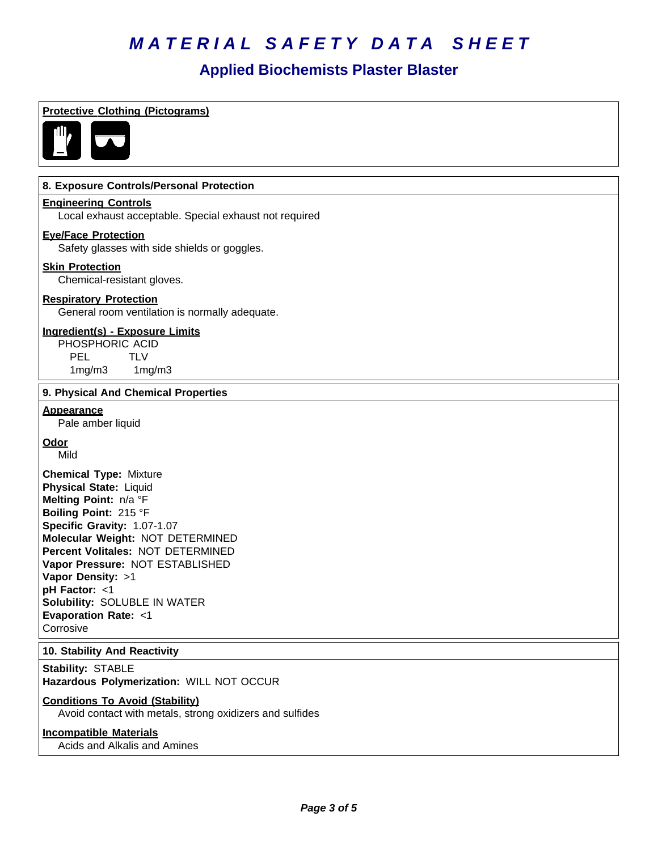# **Annlied Biochemists Plaster Blaster**

|                                                                                                                                                                                                                                                                                                                                                                        | Applied Diocliginists Flaster Diaster |
|------------------------------------------------------------------------------------------------------------------------------------------------------------------------------------------------------------------------------------------------------------------------------------------------------------------------------------------------------------------------|---------------------------------------|
| <b>Protective Clothing (Pictograms)</b>                                                                                                                                                                                                                                                                                                                                |                                       |
| 8. Exposure Controls/Personal Protection                                                                                                                                                                                                                                                                                                                               |                                       |
| <b>Engineering Controls</b><br>Local exhaust acceptable. Special exhaust not required                                                                                                                                                                                                                                                                                  |                                       |
| <b>Eye/Face Protection</b><br>Safety glasses with side shields or goggles.                                                                                                                                                                                                                                                                                             |                                       |
| <b>Skin Protection</b><br>Chemical-resistant gloves.                                                                                                                                                                                                                                                                                                                   |                                       |
| <b>Respiratory Protection</b><br>General room ventilation is normally adequate.                                                                                                                                                                                                                                                                                        |                                       |
| Ingredient(s) - Exposure Limits<br>PHOSPHORIC ACID<br><b>PEL</b><br><b>TLV</b><br>1mg/m3<br>1mg/m3                                                                                                                                                                                                                                                                     |                                       |
| 9. Physical And Chemical Properties                                                                                                                                                                                                                                                                                                                                    |                                       |
| <b>Appearance</b><br>Pale amber liquid                                                                                                                                                                                                                                                                                                                                 |                                       |
| <b>Odor</b><br>Mild                                                                                                                                                                                                                                                                                                                                                    |                                       |
| <b>Chemical Type: Mixture</b><br><b>Physical State: Liquid</b><br>Melting Point: n/a °F<br>Boiling Point: 215 °F<br>Specific Gravity: 1.07-1.07<br>Molecular Weight: NOT DETERMINED<br>Percent Volitales: NOT DETERMINED<br>Vapor Pressure: NOT ESTABLISHED<br>Vapor Density: >1<br>pH Factor: <1<br>Solubility: SOLUBLE IN WATER<br>Evaporation Rate: <1<br>Corrosive |                                       |
| 10. Stability And Reactivity                                                                                                                                                                                                                                                                                                                                           |                                       |
| Stability: STABLE<br>Hazardous Polymerization: WILL NOT OCCUR                                                                                                                                                                                                                                                                                                          |                                       |
| <b>Conditions To Avoid (Stability)</b><br>Avoid contact with metals, strong oxidizers and sulfides                                                                                                                                                                                                                                                                     |                                       |
| <b>Incompatible Materials</b>                                                                                                                                                                                                                                                                                                                                          |                                       |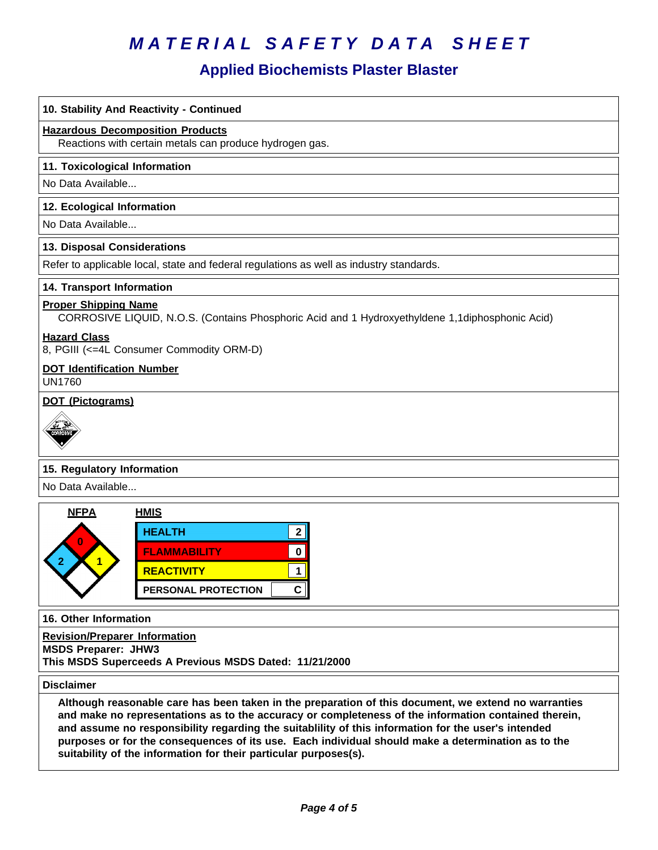## **Applied Biochemists Plaster Blaster**

| 10. Stability And Reactivity - Continued                                                                                                                                                                                                                                                                                                                                                                                                                                                      |  |  |  |
|-----------------------------------------------------------------------------------------------------------------------------------------------------------------------------------------------------------------------------------------------------------------------------------------------------------------------------------------------------------------------------------------------------------------------------------------------------------------------------------------------|--|--|--|
| <b>Hazardous Decomposition Products</b><br>Reactions with certain metals can produce hydrogen gas.                                                                                                                                                                                                                                                                                                                                                                                            |  |  |  |
| 11. Toxicological Information                                                                                                                                                                                                                                                                                                                                                                                                                                                                 |  |  |  |
| No Data Available                                                                                                                                                                                                                                                                                                                                                                                                                                                                             |  |  |  |
| 12. Ecological Information                                                                                                                                                                                                                                                                                                                                                                                                                                                                    |  |  |  |
| No Data Available                                                                                                                                                                                                                                                                                                                                                                                                                                                                             |  |  |  |
| 13. Disposal Considerations                                                                                                                                                                                                                                                                                                                                                                                                                                                                   |  |  |  |
| Refer to applicable local, state and federal regulations as well as industry standards.                                                                                                                                                                                                                                                                                                                                                                                                       |  |  |  |
| 14. Transport Information                                                                                                                                                                                                                                                                                                                                                                                                                                                                     |  |  |  |
| <b>Proper Shipping Name</b><br>CORROSIVE LIQUID, N.O.S. (Contains Phosphoric Acid and 1 Hydroxyethyldene 1,1diphosphonic Acid)                                                                                                                                                                                                                                                                                                                                                                |  |  |  |
| <b>Hazard Class</b><br>8, PGIII (<=4L Consumer Commodity ORM-D)                                                                                                                                                                                                                                                                                                                                                                                                                               |  |  |  |
| <b>DOT Identification Number</b><br><b>UN1760</b>                                                                                                                                                                                                                                                                                                                                                                                                                                             |  |  |  |
| DOT (Pictograms)                                                                                                                                                                                                                                                                                                                                                                                                                                                                              |  |  |  |
|                                                                                                                                                                                                                                                                                                                                                                                                                                                                                               |  |  |  |
| 15. Regulatory Information                                                                                                                                                                                                                                                                                                                                                                                                                                                                    |  |  |  |
| No Data Available                                                                                                                                                                                                                                                                                                                                                                                                                                                                             |  |  |  |
| <b>NFPA</b><br><b>HMIS</b><br><b>HEALTH</b><br>2 <sup>1</sup><br><b>FLAMMABILITY</b><br>0<br><b>REACTIVITY</b><br>1<br>$\mathbf{C}$<br><b>PERSONAL PROTECTION</b>                                                                                                                                                                                                                                                                                                                             |  |  |  |
| 16. Other Information                                                                                                                                                                                                                                                                                                                                                                                                                                                                         |  |  |  |
| <b>Revision/Preparer_Information</b><br><b>MSDS Preparer: JHW3</b><br>This MSDS Superceeds A Previous MSDS Dated: 11/21/2000                                                                                                                                                                                                                                                                                                                                                                  |  |  |  |
| <b>Disclaimer</b>                                                                                                                                                                                                                                                                                                                                                                                                                                                                             |  |  |  |
| Although reasonable care has been taken in the preparation of this document, we extend no warranties<br>and make no representations as to the accuracy or completeness of the information contained therein,<br>and assume no responsibility regarding the suitablility of this information for the user's intended<br>purposes or for the consequences of its use. Each individual should make a determination as to the<br>suitability of the information for their particular purposes(s). |  |  |  |